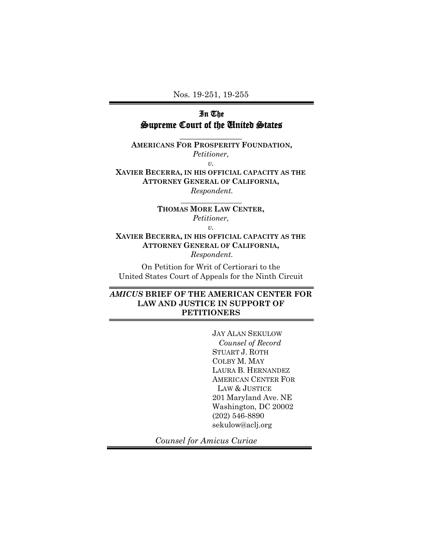Nos. 19-251, 19-255

## In The Supreme Court of the United States

**\_\_\_\_\_\_\_\_\_\_\_\_\_\_\_**

**AMERICANS FOR PROSPERITY FOUNDATION,** *Petitioner, v.*

**XAVIER BECERRA, IN HIS OFFICIAL CAPACITY AS THE ATTORNEY GENERAL OF CALIFORNIA,** *Respondent.*

> **THOMAS MORE LAW CENTER,**  *Petitioner,*

 **\_\_\_\_\_\_\_\_\_\_\_\_\_\_\_\_**

*v.*

**XAVIER BECERRA, IN HIS OFFICIAL CAPACITY AS THE ATTORNEY GENERAL OF CALIFORNIA,** *Respondent.*

On Petition for Writ of Certiorari to the United States Court of Appeals for the Ninth Circuit

## *AMICUS* **BRIEF OF THE AMERICAN CENTER FOR LAW AND JUSTICE IN SUPPORT OF PETITIONERS**

JAY ALAN SEKULOW  *Counsel of Record* STUART J. ROTH COLBY M. MAY LAURA B. HERNANDEZ AMERICAN CENTER FOR LAW & JUSTICE 201 Maryland Ave. NE Washington, DC 20002 (202) 546-8890 sekulow@aclj.org

*Counsel for Amicus Curiae*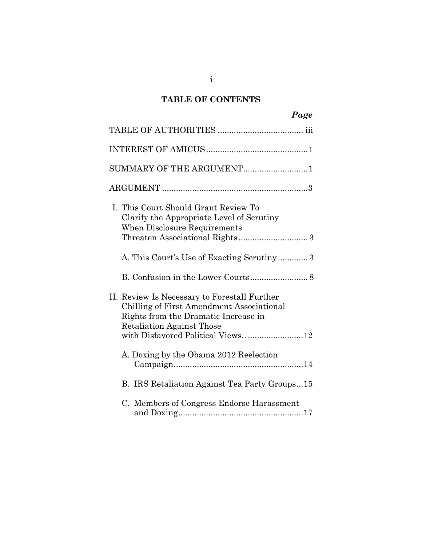# **TABLE OF CONTENTS**

| Page                                                                                                                                                                  |
|-----------------------------------------------------------------------------------------------------------------------------------------------------------------------|
|                                                                                                                                                                       |
|                                                                                                                                                                       |
| SUMMARY OF THE ARGUMENT1                                                                                                                                              |
|                                                                                                                                                                       |
| I. This Court Should Grant Review To<br>Clarify the Appropriate Level of Scrutiny<br>When Disclosure Requirements                                                     |
| A. This Court's Use of Exacting Scrutiny3                                                                                                                             |
|                                                                                                                                                                       |
| II. Review Is Necessary to Forestall Further<br>Chilling of First Amendment Associational<br>Rights from the Dramatic Increase in<br><b>Retaliation Against Those</b> |
| A. Doxing by the Obama 2012 Reelection                                                                                                                                |
| B. IRS Retaliation Against Tea Party Groups15                                                                                                                         |
| C. Members of Congress Endorse Harassment                                                                                                                             |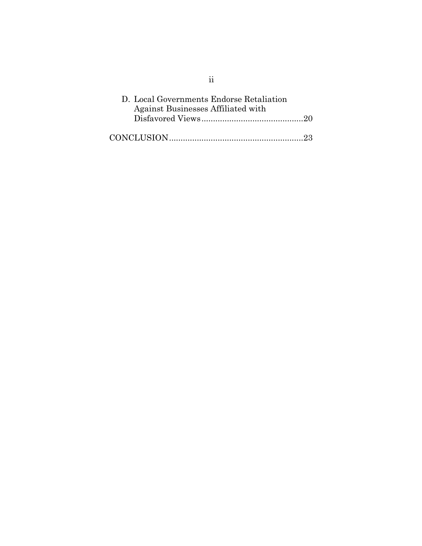| D. Local Governments Endorse Retaliation |  |
|------------------------------------------|--|
| Against Businesses Affiliated with       |  |
|                                          |  |

ii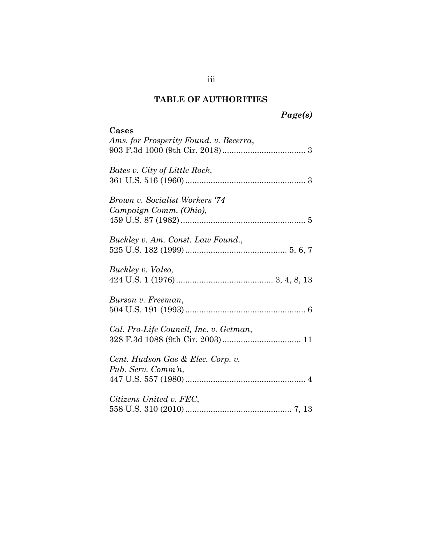# **TABLE OF AUTHORITIES**

# *Page(s)*

| Cases<br>Ams. for Prosperity Found. v. Becerra,          |
|----------------------------------------------------------|
| Bates v. City of Little Rock,                            |
| Brown v. Socialist Workers '74<br>Campaign Comm. (Ohio), |
| Buckley v. Am. Const. Law Found.,                        |
| Buckley v. Valeo,                                        |
| Burson v. Freeman,                                       |
| Cal. Pro-Life Council, Inc. v. Getman,                   |
| Cent. Hudson Gas & Elec. Corp. v.<br>Pub. Serv. Comm'n,  |
| Citizens United v. FEC,                                  |

iii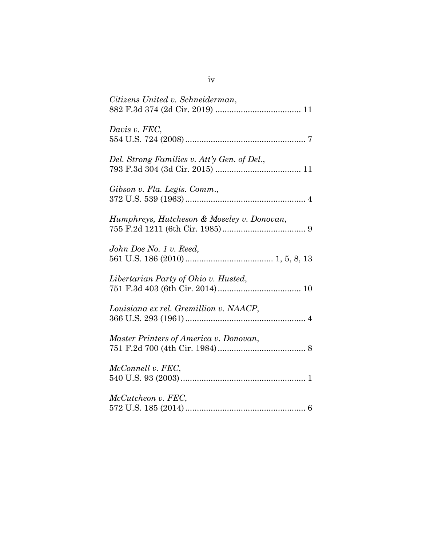| Citizens United v. Schneiderman,            |
|---------------------------------------------|
| Davis v. FEC,                               |
| Del. Strong Families v. Att'y Gen. of Del., |
| Gibson v. Fla. Legis. Comm.,                |
| Humphreys, Hutcheson & Moseley v. Donovan,  |
| John Doe No. 1 v. Reed,                     |
| Libertarian Party of Ohio v. Husted,        |
| Louisiana ex rel. Gremillion v. NAACP,      |
| Master Printers of America v. Donovan,      |
| McConnell v. FEC,                           |
| McCutcheon v. FEC,                          |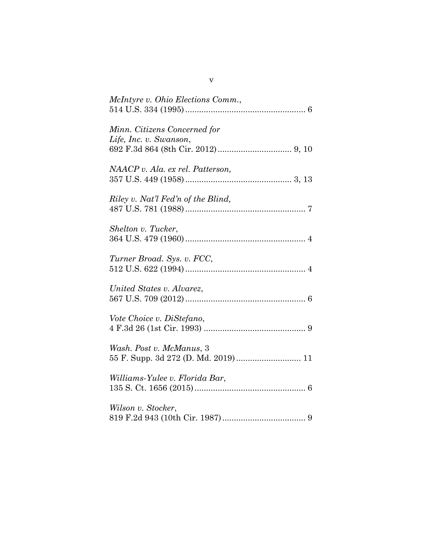| McIntyre v. Ohio Elections Comm.,                               |
|-----------------------------------------------------------------|
|                                                                 |
| Minn. Citizens Concerned for<br>Life, Inc. v. Swanson,          |
|                                                                 |
| NAACP v. Ala. ex rel. Patterson,                                |
| Riley v. Nat'l Fed'n of the Blind,                              |
| Shelton v. Tucker,                                              |
| Turner Broad. Sys. v. FCC,                                      |
| United States v. Alvarez,                                       |
| Vote Choice v. DiStefano,                                       |
| Wash. Post v. McManus, 3<br>55 F. Supp. 3d 272 (D. Md. 2019) 11 |
| Williams-Yulee v. Florida Bar,                                  |
| Wilson v. Stocker,                                              |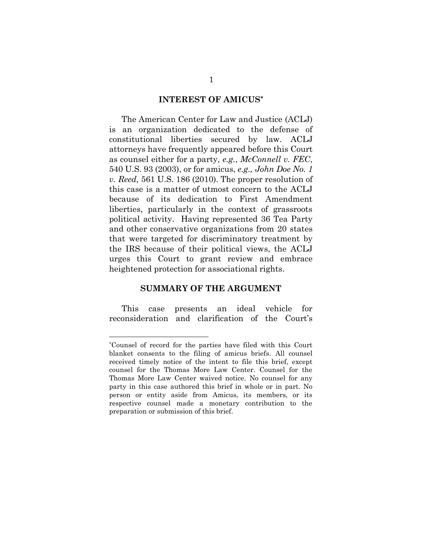#### **INTEREST OF AMICUS\***

The American Center for Law and Justice (ACLJ) is an organization dedicated to the defense of constitutional liberties secured by law. ACLJ attorneys have frequently appeared before this Court as counsel either for a party, *e.g.*, *McConnell v. FEC*, 540 U.S. 93 (2003), or for amicus, *e.g., John Doe No. 1 v. Reed,* 561 U.S. 186 (2010). The proper resolution of this case is a matter of utmost concern to the ACLJ because of its dedication to First Amendment liberties, particularly in the context of grassroots political activity. Having represented 36 Tea Party and other conservative organizations from 20 states that were targeted for discriminatory treatment by the IRS because of their political views, the ACLJ urges this Court to grant review and embrace heightened protection for associational rights.

#### **SUMMARY OF THE ARGUMENT**

This case presents an ideal vehicle for reconsideration and clarification of the Court's

l

<sup>\*</sup>Counsel of record for the parties have filed with this Court blanket consents to the filing of amicus briefs. All counsel received timely notice of the intent to file this brief, except counsel for the Thomas More Law Center. Counsel for the Thomas More Law Center waived notice. No counsel for any party in this case authored this brief in whole or in part. No person or entity aside from Amicus, its members, or its respective counsel made a monetary contribution to the preparation or submission of this brief.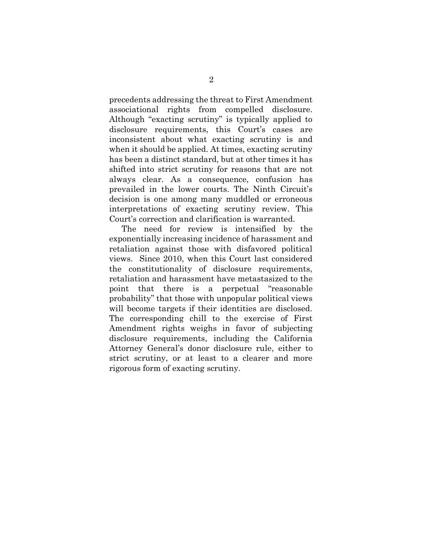precedents addressing the threat to First Amendment associational rights from compelled disclosure. Although "exacting scrutiny" is typically applied to disclosure requirements, this Court's cases are inconsistent about what exacting scrutiny is and when it should be applied. At times, exacting scrutiny has been a distinct standard, but at other times it has shifted into strict scrutiny for reasons that are not always clear. As a consequence, confusion has prevailed in the lower courts. The Ninth Circuit's decision is one among many muddled or erroneous interpretations of exacting scrutiny review. This Court's correction and clarification is warranted.

The need for review is intensified by the exponentially increasing incidence of harassment and retaliation against those with disfavored political views. Since 2010, when this Court last considered the constitutionality of disclosure requirements, retaliation and harassment have metastasized to the point that there is a perpetual "reasonable probability" that those with unpopular political views will become targets if their identities are disclosed. The corresponding chill to the exercise of First Amendment rights weighs in favor of subjecting disclosure requirements, including the California Attorney General's donor disclosure rule, either to strict scrutiny, or at least to a clearer and more rigorous form of exacting scrutiny.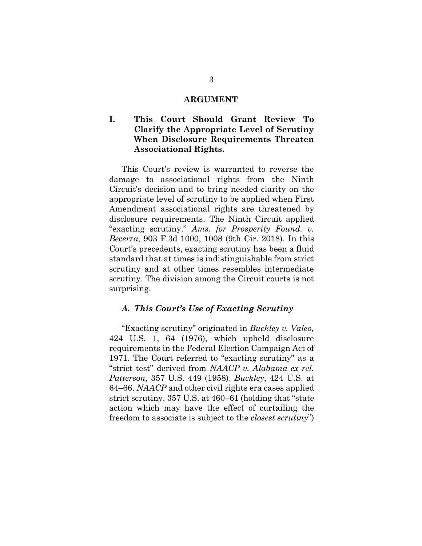#### **ARGUMENT**

## **I. This Court Should Grant Review To Clarify the Appropriate Level of Scrutiny When Disclosure Requirements Threaten Associational Rights.**

This Court's review is warranted to reverse the damage to associational rights from the Ninth Circuit's decision and to bring needed clarity on the appropriate level of scrutiny to be applied when First Amendment associational rights are threatened by disclosure requirements. The Ninth Circuit applied "exacting scrutiny." *Ams. for Prosperity Found. v. Becerra*, 903 F.3d 1000, 1008 (9th Cir. 2018). In this Court's precedents, exacting scrutiny has been a fluid standard that at times is indistinguishable from strict scrutiny and at other times resembles intermediate scrutiny. The division among the Circuit courts is not surprising.

#### *A. This Court's Use of Exacting Scrutiny*

"Exacting scrutiny" originated in *Buckley v. Valeo,* 424 U.S. 1, 64 (1976), which upheld disclosure requirements in the Federal Election Campaign Act of 1971. The Court referred to "exacting scrutiny" as a "strict test" derived from *NAACP v. Alabama ex rel. Patterson,* 357 U.S. 449 (1958). *Buckley*, 424 U.S. at 64–66. *NAACP* and other civil rights era cases applied strict scrutiny. 357 U.S. at 460–61 (holding that "state action which may have the effect of curtailing the freedom to associate is subject to the *closest scrutiny*")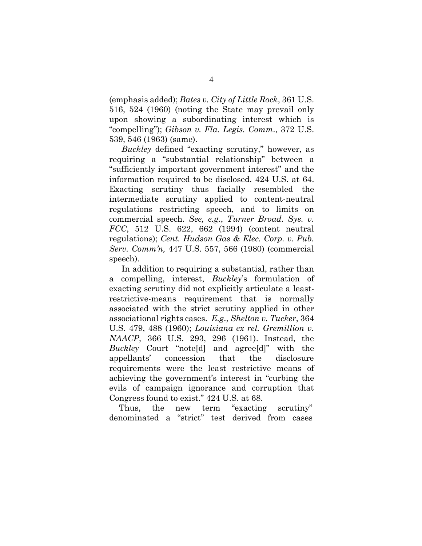(emphasis added); *Bates v. City of Little Rock*, 361 U.S. 516, 524 (1960) (noting the State may prevail only upon showing a subordinating interest which is "compelling"); *Gibson v. Fla. Legis. Comm*., 372 U.S. 539, 546 (1963) (same).

*Buckley* defined "exacting scrutiny," however, as requiring a "substantial relationship" between a "sufficiently important government interest" and the information required to be disclosed. 424 U.S. at 64. Exacting scrutiny thus facially resembled the intermediate scrutiny applied to content-neutral regulations restricting speech, and to limits on commercial speech. *See, e.g.*, *Turner Broad. Sys. v. FCC*, 512 U.S. 622, 662 (1994) (content neutral regulations); *Cent. Hudson Gas & Elec. Corp. v. Pub. Serv. Comm'n,* 447 U.S. 557, 566 (1980) (commercial speech).

In addition to requiring a substantial, rather than a compelling, interest, *Buckley*'s formulation of exacting scrutiny did not explicitly articulate a leastrestrictive-means requirement that is normally associated with the strict scrutiny applied in other associational rights cases. *E.g., Shelton v. Tucker*, 364 U.S. 479, 488 (1960); *Louisiana ex rel. Gremillion v. NAACP*, 366 U.S. 293, 296 (1961). Instead, the *Buckley* Court "note[d] and agree[d]" with the appellants' concession that the disclosure requirements were the least restrictive means of achieving the government's interest in "curbing the evils of campaign ignorance and corruption that Congress found to exist." 424 U.S. at 68.

Thus, the new term "exacting scrutiny" denominated a "strict" test derived from cases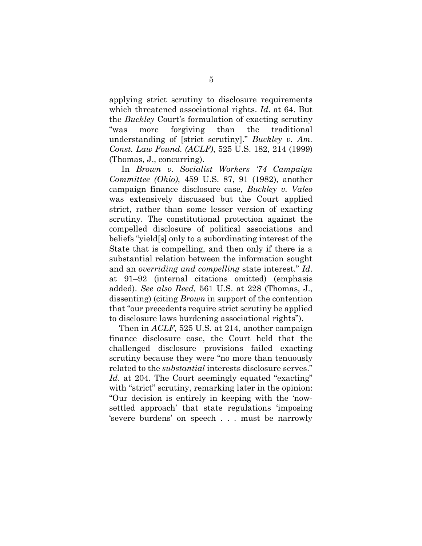applying strict scrutiny to disclosure requirements which threatened associational rights. *Id*. at 64. But the *Buckley* Court's formulation of exacting scrutiny "was more forgiving than the traditional understanding of [strict scrutiny]." *Buckley v. Am. Const. Law Found. (ACLF)*, 525 U.S. 182, 214 (1999) (Thomas, J., concurring).

In *Brown v. Socialist Workers '74 Campaign Committee (Ohio)*, 459 U.S. 87, 91 (1982), another campaign finance disclosure case, *Buckley v. Valeo* was extensively discussed but the Court applied strict, rather than some lesser version of exacting scrutiny. The constitutional protection against the compelled disclosure of political associations and beliefs "yield[s] only to a subordinating interest of the State that is compelling, and then only if there is a substantial relation between the information sought and an *overriding and compelling* state interest." *Id*. at 91–92 (internal citations omitted) (emphasis added). *See also Reed,* 561 U.S. at 228 (Thomas, J., dissenting) (citing *Brown* in support of the contention that "our precedents require strict scrutiny be applied to disclosure laws burdening associational rights").

Then in *ACLF*, 525 U.S. at 214, another campaign finance disclosure case, the Court held that the challenged disclosure provisions failed exacting scrutiny because they were "no more than tenuously related to the *substantial* interests disclosure serves." *Id.* at 204. The Court seemingly equated "exacting" with "strict" scrutiny, remarking later in the opinion: "Our decision is entirely in keeping with the 'nowsettled approach' that state regulations 'imposing 'severe burdens' on speech . . . must be narrowly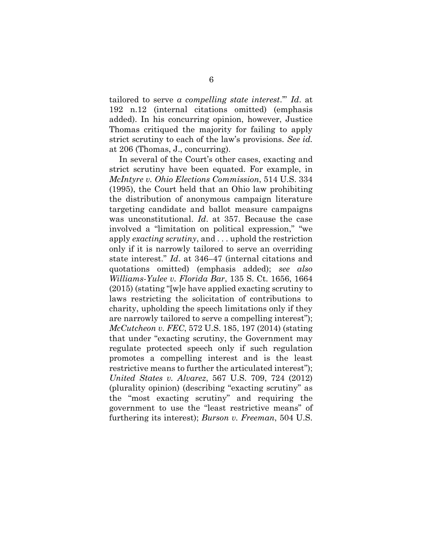tailored to serve *a compelling state interest*.'" *Id*. at 192 n.12 (internal citations omitted) (emphasis added). In his concurring opinion, however, Justice Thomas critiqued the majority for failing to apply strict scrutiny to each of the law's provisions. *See id.* at 206 (Thomas, J., concurring).

In several of the Court's other cases, exacting and strict scrutiny have been equated. For example, in *McIntyre v. Ohio Elections Commission*, 514 U.S. 334 (1995), the Court held that an Ohio law prohibiting the distribution of anonymous campaign literature targeting candidate and ballot measure campaigns was unconstitutional. *Id*. at 357. Because the case involved a "limitation on political expression," "we apply *exacting scrutiny*, and . . . uphold the restriction only if it is narrowly tailored to serve an overriding state interest." *Id*. at 346–47 (internal citations and quotations omitted) (emphasis added); *see also Williams-Yulee v. Florida Bar*, 135 S. Ct. 1656, 1664 (2015) (stating "[w]e have applied exacting scrutiny to laws restricting the solicitation of contributions to charity, upholding the speech limitations only if they are narrowly tailored to serve a compelling interest"); *McCutcheon v. FEC*, 572 U.S. 185, 197 (2014) (stating that under "exacting scrutiny, the Government may regulate protected speech only if such regulation promotes a compelling interest and is the least restrictive means to further the articulated interest"); *United States v. Alvarez*, 567 U.S. 709, 724 (2012) (plurality opinion) (describing "exacting scrutiny" as the "most exacting scrutiny" and requiring the government to use the "least restrictive means" of furthering its interest); *Burson v. Freeman*, 504 U.S.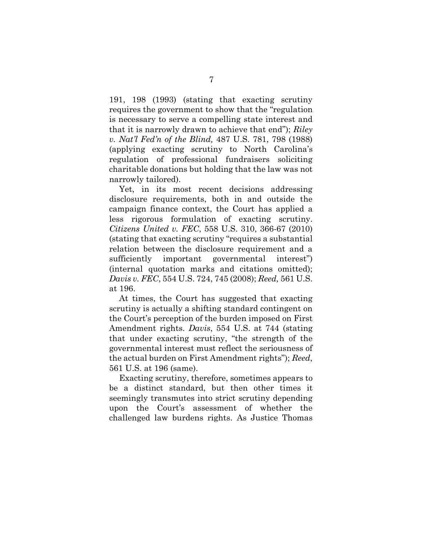191, 198 (1993) (stating that exacting scrutiny requires the government to show that the "regulation is necessary to serve a compelling state interest and that it is narrowly drawn to achieve that end"); *Riley v. Nat'l Fed'n of the Blind,* 487 U.S. 781, 798 (1988) (applying exacting scrutiny to North Carolina's regulation of professional fundraisers soliciting charitable donations but holding that the law was not narrowly tailored).

Yet, in its most recent decisions addressing disclosure requirements, both in and outside the campaign finance context, the Court has applied a less rigorous formulation of exacting scrutiny. *Citizens United v. FEC*, 558 U.S. 310, 366-67 (2010) (stating that exacting scrutiny "requires a substantial relation between the disclosure requirement and a sufficiently important governmental interest") (internal quotation marks and citations omitted); *Davis v. FEC*, 554 U.S. 724, 745 (2008); *Reed,* 561 U.S. at 196.

At times, the Court has suggested that exacting scrutiny is actually a shifting standard contingent on the Court's perception of the burden imposed on First Amendment rights. *Davis*, 554 U.S. at 744 (stating that under exacting scrutiny, "the strength of the governmental interest must reflect the seriousness of the actual burden on First Amendment rights"); *Reed*, 561 U.S. at 196 (same).

Exacting scrutiny, therefore, sometimes appears to be a distinct standard, but then other times it seemingly transmutes into strict scrutiny depending upon the Court's assessment of whether the challenged law burdens rights. As Justice Thomas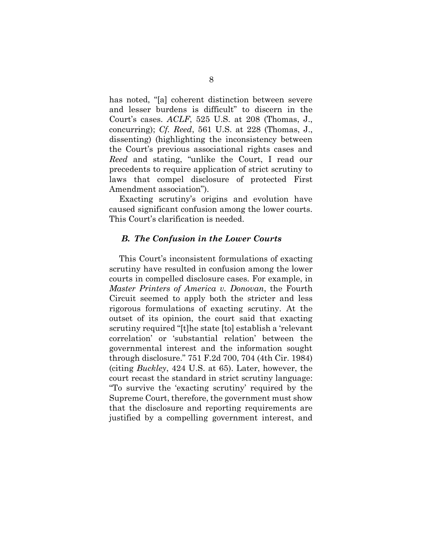has noted, "[a] coherent distinction between severe and lesser burdens is difficult" to discern in the Court's cases. *ACLF*, 525 U.S. at 208 (Thomas, J., concurring); *Cf. Reed*, 561 U.S. at 228 (Thomas, J., dissenting) (highlighting the inconsistency between the Court's previous associational rights cases and *Reed* and stating, "unlike the Court, I read our precedents to require application of strict scrutiny to laws that compel disclosure of protected First Amendment association").

Exacting scrutiny's origins and evolution have caused significant confusion among the lower courts. This Court's clarification is needed.

#### *B. The Confusion in the Lower Courts*

This Court's inconsistent formulations of exacting scrutiny have resulted in confusion among the lower courts in compelled disclosure cases. For example, in *Master Printers of America v. Donovan*, the Fourth Circuit seemed to apply both the stricter and less rigorous formulations of exacting scrutiny. At the outset of its opinion, the court said that exacting scrutiny required "[t]he state [to] establish a 'relevant correlation' or 'substantial relation' between the governmental interest and the information sought through disclosure." 751 F.2d 700, 704 (4th Cir. 1984) (citing *Buckley*, 424 U.S. at 65). Later, however, the court recast the standard in strict scrutiny language: "To survive the 'exacting scrutiny' required by the Supreme Court, therefore, the government must show that the disclosure and reporting requirements are justified by a compelling government interest, and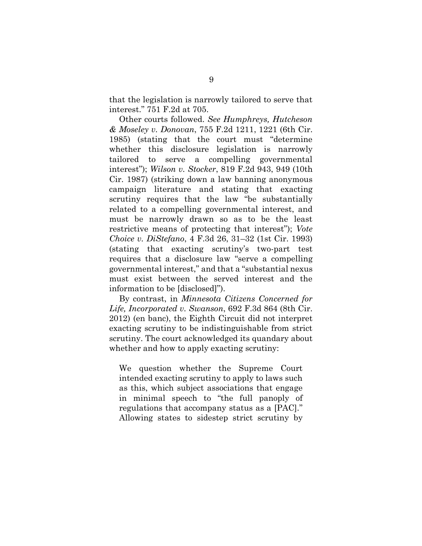that the legislation is narrowly tailored to serve that interest." 751 F.2d at 705.

Other courts followed. *See Humphreys, Hutcheson & Moseley v. Donovan*, 755 F.2d 1211, 1221 (6th Cir. 1985) (stating that the court must "determine whether this disclosure legislation is narrowly tailored to serve a compelling governmental interest"); *Wilson v. Stocker*, 819 F.2d 943, 949 (10th Cir. 1987) (striking down a law banning anonymous campaign literature and stating that exacting scrutiny requires that the law "be substantially related to a compelling governmental interest, and must be narrowly drawn so as to be the least restrictive means of protecting that interest"); *Vote Choice v. DiStefano*, 4 F.3d 26, 31–32 (1st Cir. 1993) (stating that exacting scrutiny's two-part test requires that a disclosure law "serve a compelling governmental interest," and that a "substantial nexus must exist between the served interest and the information to be [disclosed]").

By contrast, in *Minnesota Citizens Concerned for Life, Incorporated v. Swanson*, 692 F.3d 864 (8th Cir. 2012) (en banc), the Eighth Circuit did not interpret exacting scrutiny to be indistinguishable from strict scrutiny. The court acknowledged its quandary about whether and how to apply exacting scrutiny:

We question whether the Supreme Court intended exacting scrutiny to apply to laws such as this, which subject associations that engage in minimal speech to "the full panoply of regulations that accompany status as a [PAC]." Allowing states to sidestep strict scrutiny by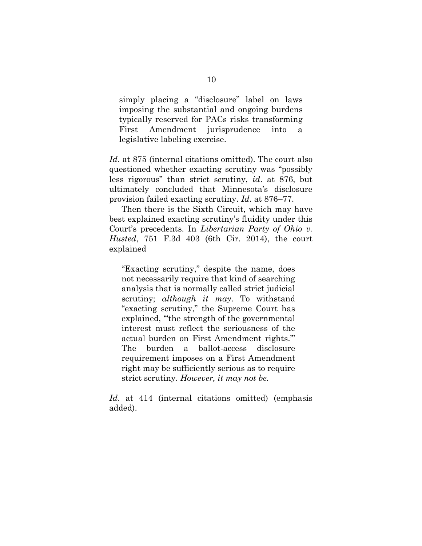simply placing a "disclosure" label on laws imposing the substantial and ongoing burdens typically reserved for PACs risks transforming First Amendment jurisprudence into a legislative labeling exercise.

*Id*. at 875 (internal citations omitted). The court also questioned whether exacting scrutiny was "possibly less rigorous" than strict scrutiny, *id*. at 876, but ultimately concluded that Minnesota's disclosure provision failed exacting scrutiny. *Id*. at 876–77.

Then there is the Sixth Circuit, which may have best explained exacting scrutiny's fluidity under this Court's precedents. In *Libertarian Party of Ohio v. Husted*, 751 F.3d 403 (6th Cir. 2014), the court explained

"Exacting scrutiny," despite the name, does not necessarily require that kind of searching analysis that is normally called strict judicial scrutiny; *although it may*. To withstand "exacting scrutiny," the Supreme Court has explained, "'the strength of the governmental interest must reflect the seriousness of the actual burden on First Amendment rights.'" The burden a ballot-access disclosure requirement imposes on a First Amendment right may be sufficiently serious as to require strict scrutiny. *However, it may not be.*

*Id*. at 414 (internal citations omitted) (emphasis added).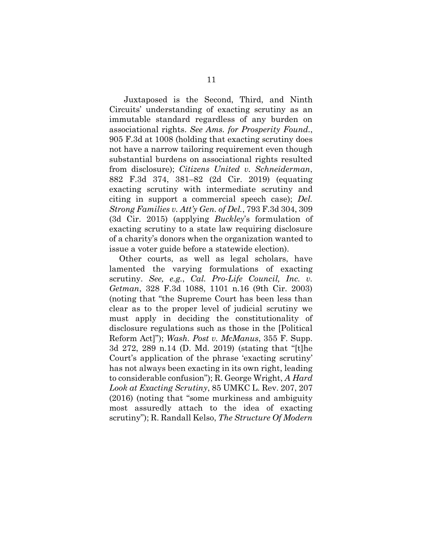Juxtaposed is the Second, Third, and Ninth Circuits' understanding of exacting scrutiny as an immutable standard regardless of any burden on associational rights. *See Ams. for Prosperity Found.*, 905 F.3d at 1008 (holding that exacting scrutiny does not have a narrow tailoring requirement even though substantial burdens on associational rights resulted from disclosure); *Citizens United v. Schneiderman*, 882 F.3d 374, 381–82 (2d Cir. 2019) (equating exacting scrutiny with intermediate scrutiny and citing in support a commercial speech case); *Del. Strong Families v. Att'y Gen. of Del.*, 793 F.3d 304, 309 (3d Cir. 2015) (applying *Buckley*'s formulation of exacting scrutiny to a state law requiring disclosure of a charity's donors when the organization wanted to issue a voter guide before a statewide election).

Other courts, as well as legal scholars, have lamented the varying formulations of exacting scrutiny. *See, e.g.*, *Cal. Pro-Life Council, Inc. v. Getman*, 328 F.3d 1088, 1101 n.16 (9th Cir. 2003) (noting that "the Supreme Court has been less than clear as to the proper level of judicial scrutiny we must apply in deciding the constitutionality of disclosure regulations such as those in the [Political Reform Act]"); *Wash. Post v. McManus*, 355 F. Supp. 3d 272, 289 n.14 (D. Md. 2019) (stating that "[t]he Court's application of the phrase 'exacting scrutiny' has not always been exacting in its own right, leading to considerable confusion"); R. George Wright, *A Hard Look at Exacting Scrutiny*, 85 UMKC L. Rev. 207, 207 (2016) (noting that "some murkiness and ambiguity most assuredly attach to the idea of exacting scrutiny"); R. Randall Kelso, *The Structure Of Modern*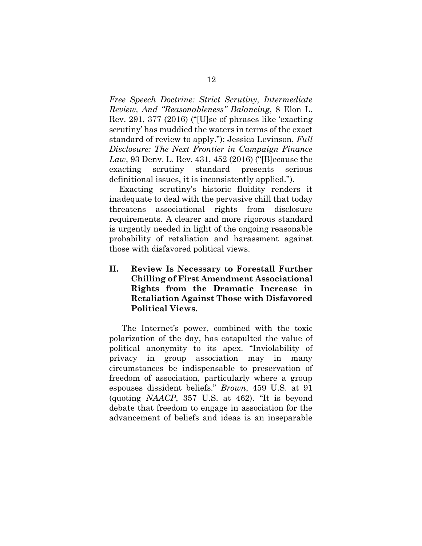*Free Speech Doctrine: Strict Scrutiny, Intermediate Review, And "Reasonableness" Balancing*, 8 Elon L. Rev. 291, 377 (2016) ("[U]se of phrases like 'exacting scrutiny' has muddied the waters in terms of the exact standard of review to apply."); Jessica Levinson, *Full Disclosure: The Next Frontier in Campaign Finance Law*, 93 Denv. L. Rev. 431, 452 (2016) ("[B]ecause the exacting scrutiny standard presents serious definitional issues, it is inconsistently applied.").

Exacting scrutiny's historic fluidity renders it inadequate to deal with the pervasive chill that today threatens associational rights from disclosure requirements. A clearer and more rigorous standard is urgently needed in light of the ongoing reasonable probability of retaliation and harassment against those with disfavored political views.

**II. Review Is Necessary to Forestall Further Chilling of First Amendment Associational Rights from the Dramatic Increase in Retaliation Against Those with Disfavored Political Views.**

The Internet's power, combined with the toxic polarization of the day, has catapulted the value of political anonymity to its apex. "Inviolability of privacy in group association may in many circumstances be indispensable to preservation of freedom of association, particularly where a group espouses dissident beliefs." *Brown*, 459 U.S. at 91 (quoting *NAACP*, 357 U.S. at 462). "It is beyond debate that freedom to engage in association for the advancement of beliefs and ideas is an inseparable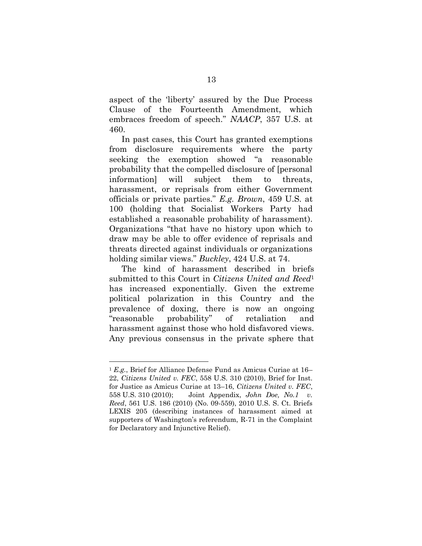aspect of the 'liberty' assured by the Due Process Clause of the Fourteenth Amendment, which embraces freedom of speech." *NAACP*, 357 U.S. at 460.

In past cases, this Court has granted exemptions from disclosure requirements where the party seeking the exemption showed "a reasonable probability that the compelled disclosure of [personal information] will subject them to threats, harassment, or reprisals from either Government officials or private parties." *E.g. Brown*, 459 U.S. at 100 (holding that Socialist Workers Party had established a reasonable probability of harassment). Organizations "that have no history upon which to draw may be able to offer evidence of reprisals and threats directed against individuals or organizations holding similar views." *Buckley*, 424 U.S. at 74.

The kind of harassment described in briefs submitted to this Court in *Citizens United and Reed*<sup>1</sup> has increased exponentially. Given the extreme political polarization in this Country and the prevalence of doxing, there is now an ongoing "reasonable probability" of retaliation and harassment against those who hold disfavored views. Any previous consensus in the private sphere that

l

<sup>1</sup> *E.g.*, Brief for Alliance Defense Fund as Amicus Curiae at 16– 22, *Citizens United v. FEC*, 558 U.S. 310 (2010), Brief for Inst. for Justice as Amicus Curiae at 13–16, *Citizens United v. FEC*, 558 U.S. 310 (2010); Joint Appendix, *John Doe, No.1 v. Reed*, 561 U.S. 186 (2010) (No. 09-559), 2010 U.S. S. Ct. Briefs LEXIS 205 (describing instances of harassment aimed at supporters of Washington's referendum, R-71 in the Complaint for Declaratory and Injunctive Relief).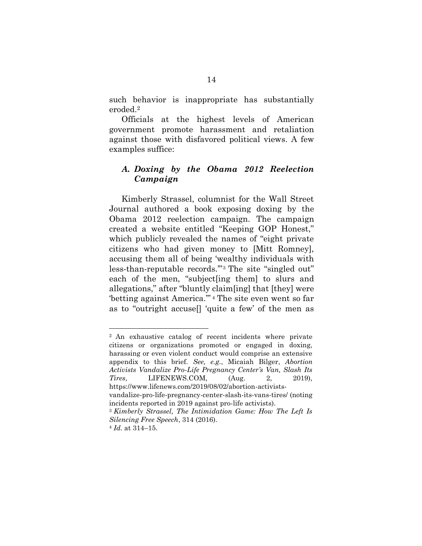such behavior is inappropriate has substantially eroded.<sup>2</sup>

Officials at the highest levels of American government promote harassment and retaliation against those with disfavored political views. A few examples suffice:

## *A. Doxing by the Obama 2012 Reelection Campaign*

Kimberly Strassel, columnist for the Wall Street Journal authored a book exposing doxing by the Obama 2012 reelection campaign. The campaign created a website entitled "Keeping GOP Honest," which publicly revealed the names of "eight private citizens who had given money to [Mitt Romney], accusing them all of being 'wealthy individuals with less-than-reputable records.'" <sup>3</sup> The site "singled out" each of the men, "subject[ing them] to slurs and allegations," after "bluntly claim[ing] that [they] were 'betting against America.'" <sup>4</sup> The site even went so far as to "outright accuse[] 'quite a few' of the men as

<sup>2</sup> An exhaustive catalog of recent incidents where private citizens or organizations promoted or engaged in doxing, harassing or even violent conduct would comprise an extensive appendix to this brief. *See, e.g.*, Micaiah Bilger, *Abortion Activists Vandalize Pro-Life Pregnancy Center's Van, Slash Its Tires*, LIFENEWS.COM, (Aug. 2, 2019), https://www.lifenews.com/2019/08/02/abortion-activistsvandalize-pro-life-pregnancy-center-slash-its-vans-tires/ (noting incidents reported in 2019 against pro-life activists). <sup>3</sup> *Kimberly Strassel, The Intimidation Game: How The Left Is* 

*Silencing Free Speech*, 314 (2016).

<sup>4</sup> *Id.* at 314–15.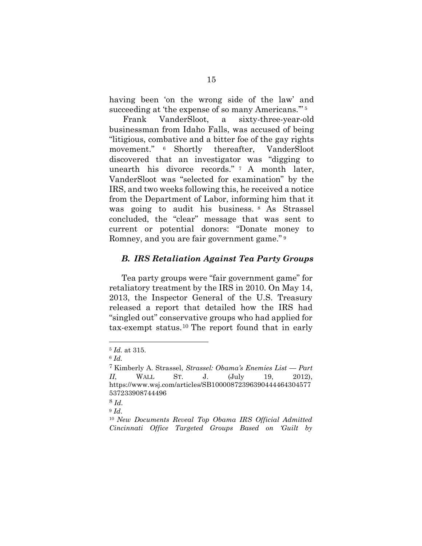having been 'on the wrong side of the law' and succeeding at 'the expense of so many Americans."<sup>5</sup>

Frank VanderSloot, a sixty-three-year-old businessman from Idaho Falls, was accused of being "litigious, combative and a bitter foe of the gay rights movement." <sup>6</sup> Shortly thereafter, VanderSloot discovered that an investigator was "digging to unearth his divorce records." <sup>7</sup> A month later, VanderSloot was "selected for examination" by the IRS, and two weeks following this, he received a notice from the Department of Labor, informing him that it was going to audit his business. <sup>8</sup> As Strassel concluded, the "clear" message that was sent to current or potential donors: "Donate money to Romney, and you are fair government game." <sup>9</sup>

#### *B. IRS Retaliation Against Tea Party Groups*

Tea party groups were "fair government game" for retaliatory treatment by the IRS in 2010. On May 14, 2013, the Inspector General of the U.S. Treasury released a report that detailed how the IRS had "singled out" conservative groups who had applied for tax-exempt status.<sup>10</sup> The report found that in early

<sup>5</sup> *Id.* at 315.

<sup>6</sup> *Id.*

<sup>7</sup> Kimberly A. Strassel, *Strassel: Obama's Enemies List — Part II*, WALL ST. J. (July 19, 2012), https://www.wsj.com/articles/SB10000872396390444464304577 537233908744496

<sup>8</sup> *Id.*

<sup>9</sup> *Id*.

<sup>10</sup> *New Documents Reveal Top Obama IRS Official Admitted Cincinnati Office Targeted Groups Based on 'Guilt by*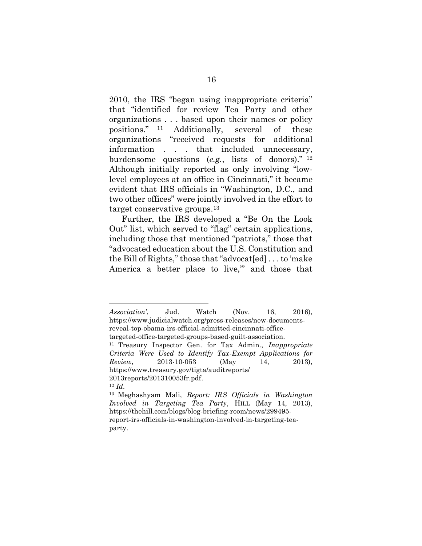2010, the IRS "began using inappropriate criteria" that "identified for review Tea Party and other organizations . . . based upon their names or policy positions." <sup>11</sup> Additionally, several of these organizations "received requests for additional information . . . that included unnecessary, burdensome questions (*e.g.*, lists of donors)." <sup>12</sup> Although initially reported as only involving "lowlevel employees at an office in Cincinnati," it became evident that IRS officials in "Washington, D.C., and two other offices" were jointly involved in the effort to target conservative groups.<sup>13</sup>

Further, the IRS developed a "Be On the Look Out" list, which served to "flag" certain applications, including those that mentioned "patriots," those that "advocated education about the U.S. Constitution and the Bill of Rights," those that "advocat[ed] . . . to 'make America a better place to live," and those that

*Association'*, Jud. Watch (Nov. 16, 2016), https://www.judicialwatch.org/press-releases/new-documentsreveal-top-obama-irs-official-admitted-cincinnati-office-

targeted-office-targeted-groups-based-guilt-association.

<sup>11</sup> Treasury Inspector Gen. for Tax Admin., *Inappropriate Criteria Were Used to Identify Tax-Exempt Applications for Review*, 2013-10-053 (May 14, 2013), https://www.treasury.gov/tigta/auditreports/ 2013reports/201310053fr.pdf.

<sup>12</sup> *Id.*

<sup>13</sup> Meghashyam Mali, *Report: IRS Officials in Washington Involved in Targeting Tea Party*, HILL (May 14, 2013), https://thehill.com/blogs/blog-briefing-room/news/299495 report-irs-officials-in-washington-involved-in-targeting-teaparty.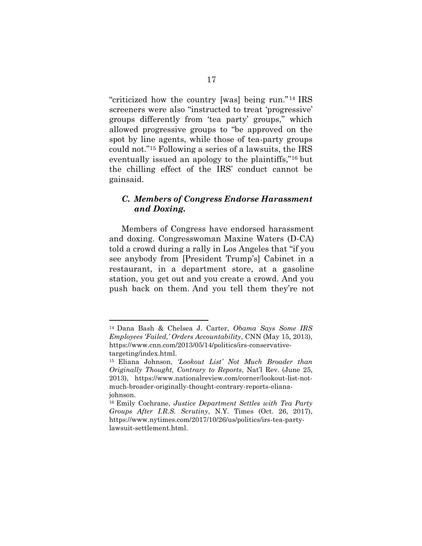"criticized how the country [was] being run."<sup>14</sup> IRS screeners were also "instructed to treat 'progressive' groups differently from 'tea party' groups," which allowed progressive groups to "be approved on the spot by line agents, while those of tea-party groups could not."<sup>15</sup> Following a series of a lawsuits, the IRS eventually issued an apology to the plaintiffs," <sup>16</sup> but the chilling effect of the IRS' conduct cannot be gainsaid.

## *C. Members of Congress Endorse Harassment and Doxing.*

Members of Congress have endorsed harassment and doxing. Congresswoman Maxine Waters (D-CA) told a crowd during a rally in Los Angeles that "if you see anybody from [President Trump's] Cabinet in a restaurant, in a department store, at a gasoline station, you get out and you create a crowd. And you push back on them. And you tell them they're not

<sup>14</sup> Dana Bash & Chelsea J. Carter, *Obama Says Some IRS Employees 'Failed,' Orders Accountability*, CNN (May 15, 2013), https://www.cnn.com/2013/05/14/politics/irs-conservativetargeting/index.html.

<sup>15</sup> Eliana Johnson, *'Lookout List' Not Much Broader than Originally Thought, Contrary to Reports*, Nat'l Rev. (June 25, 2013), https://www.nationalreview.com/corner/lookout-list-notmuch-broader-originally-thought-contrary-reports-elianajohnson.

<sup>16</sup> Emily Cochrane, *Justice Department Settles with Tea Party Groups After I.R.S. Scrutiny*, N.Y. Times (Oct. 26, 2017), https://www.nytimes.com/2017/10/26/us/politics/irs-tea-partylawsuit-settlement.html.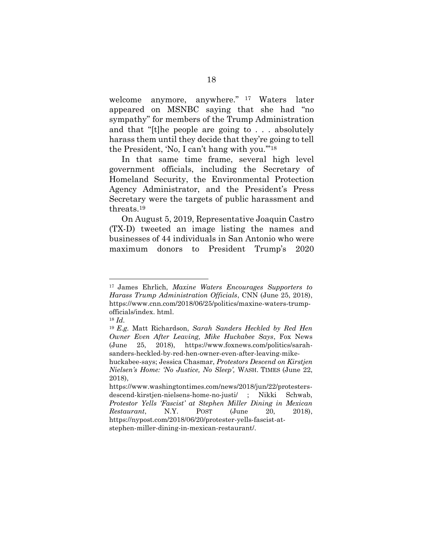welcome anymore, anywhere." <sup>17</sup> Waters later appeared on MSNBC saying that she had "no sympathy" for members of the Trump Administration and that "[t]he people are going to . . . absolutely harass them until they decide that they're going to tell the President, 'No, I can't hang with you.'"<sup>18</sup>

In that same time frame, several high level government officials, including the Secretary of Homeland Security, the Environmental Protection Agency Administrator, and the President's Press Secretary were the targets of public harassment and threats.<sup>19</sup>

On August 5, 2019, Representative Joaquin Castro (TX-D) tweeted an image listing the names and businesses of 44 individuals in San Antonio who were maximum donors to President Trump's 2020

<sup>17</sup> James Ehrlich, *Maxine Waters Encourages Supporters to Harass Trump Administration Officials*, CNN (June 25, 2018), https://www.cnn.com/2018/06/25/politics/maxine-waters-trumpofficials/index. html.

<sup>18</sup> *Id.*

<sup>19</sup> *E.g.* Matt Richardson, *Sarah Sanders Heckled by Red Hen Owner Even After Leaving, Mike Huckabee Says*, Fox News (June 25, 2018), https://www.foxnews.com/politics/sarahsanders-heckled-by-red-hen-owner-even-after-leaving-mike-

huckabee-says; Jessica Chasmar, *Protestors Descend on Kirstjen Nielsen's Home: 'No Justice, No Sleep',* WASH. TIMES (June 22, 2018),

https://www.washingtontimes.com/news/2018/jun/22/protestersdescend-kirstjen-nielsens-home-no-justi/ ; Nikki Schwab, *Protestor Yells 'Fascist' at Stephen Miller Dining in Mexican Restaurant*, N.Y. POST (June 20, 2018), https://nypost.com/2018/06/20/protester-yells-fascist-atstephen-miller-dining-in-mexican-restaurant/.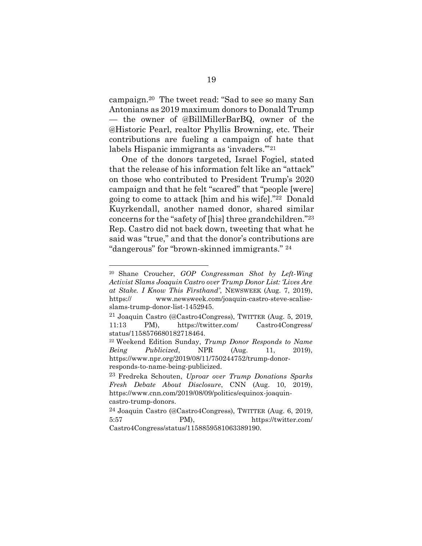campaign.<sup>20</sup> The tweet read: "Sad to see so many San Antonians as 2019 maximum donors to Donald Trump — the owner of @BillMillerBarBQ, owner of the @Historic Pearl, realtor Phyllis Browning, etc. Their contributions are fueling a campaign of hate that labels Hispanic immigrants as 'invaders.'"<sup>21</sup>

One of the donors targeted, Israel Fogiel, stated that the release of his information felt like an "attack" on those who contributed to President Trump's 2020 campaign and that he felt "scared" that "people [were] going to come to attack [him and his wife]."22 Donald Kuyrkendall, another named donor, shared similar concerns for the "safety of [his] three grandchildren."<sup>23</sup> Rep. Castro did not back down, tweeting that what he said was "true," and that the donor's contributions are "dangerous" for "brown-skinned immigrants." <sup>24</sup>

l

<sup>20</sup> Shane Croucher, *GOP Congressman Shot by Left-Wing Activist Slams Joaquin Castro over Trump Donor List: 'Lives Are at Stake. I Know This Firsthand'*, NEWSWEEK (Aug. 7, 2019), https:// www.newsweek.com/joaquin-castro-steve-scaliseslams-trump-donor-list-1452945.

<sup>21</sup> Joaquin Castro (@Castro4Congress), TWITTER (Aug. 5, 2019, 11:13 PM), https://twitter.com/ Castro4Congress/ status/1158576680182718464.

<sup>22</sup> Weekend Edition Sunday, *Trump Donor Responds to Name Being Publicized*, NPR (Aug. 11, 2019), https://www.npr.org/2019/08/11/750244752/trump-donorresponds-to-name-being-publicized.

<sup>23</sup> Fredreka Schouten, *Uproar over Trump Donations Sparks Fresh Debate About Disclosure*, CNN (Aug. 10, 2019), https://www.cnn.com/2019/08/09/politics/equinox-joaquincastro-trump-donors.

<sup>24</sup> Joaquin Castro (@Castro4Congress), TWITTER (Aug. 6, 2019, 5:57 PM), https://twitter.com/ Castro4Congress/status/1158859581063389190.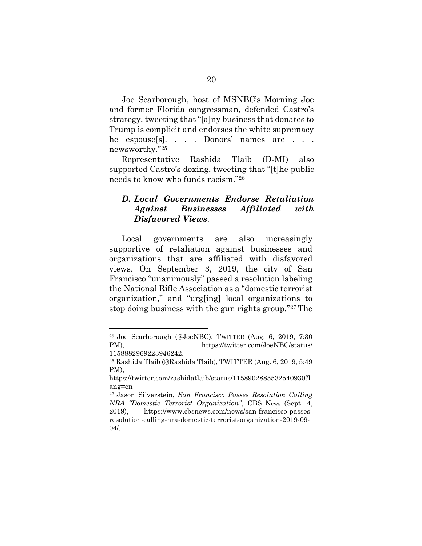Joe Scarborough, host of MSNBC's Morning Joe and former Florida congressman, defended Castro's strategy, tweeting that "[a]ny business that donates to Trump is complicit and endorses the white supremacy he espouse[s]. . . . Donors' names are . . . newsworthy."<sup>25</sup>

Representative Rashida Tlaib (D-MI) also supported Castro's doxing, tweeting that "[t]he public needs to know who funds racism."<sup>26</sup>

## *D. Local Governments Endorse Retaliation Against Businesses Affiliated with Disfavored Views*.

Local governments are also increasingly supportive of retaliation against businesses and organizations that are affiliated with disfavored views. On September 3, 2019, the city of San Francisco "unanimously" passed a resolution labeling the National Rifle Association as a "domestic terrorist organization," and "urg[ing] local organizations to stop doing business with the gun rights group."<sup>27</sup> The

<sup>25</sup> Joe Scarborough (@JoeNBC), TWITTER (Aug. 6, 2019, 7:30 PM), https://twitter.com/JoeNBC/status/ 1158882969223946242.

<sup>26</sup> Rashida Tlaib (@Rashida Tlaib), TWITTER (Aug. 6, 2019, 5:49 PM),

https://twitter.com/rashidatlaib/status/1158902885532540930?l ang=en

<sup>27</sup> Jason Silverstein, *San Francisco Passes Resolution Calling NRA "Domestic Terrorist Organization"*, CBS News (Sept. 4, 2019), https://www.cbsnews.com/news/san-francisco-passesresolution-calling-nra-domestic-terrorist-organization-2019-09- 04/.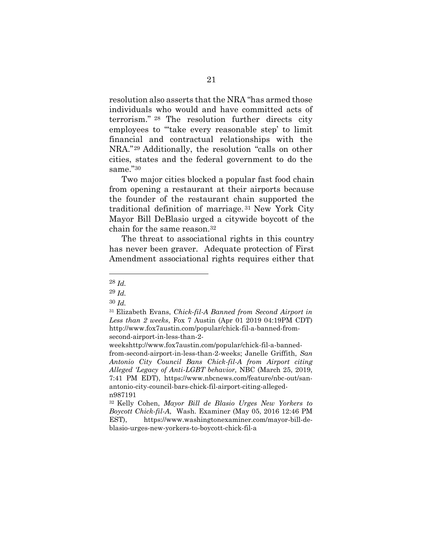resolution also asserts that the NRA "has armed those individuals who would and have committed acts of terrorism." <sup>28</sup> The resolution further directs city employees to "'take every reasonable step' to limit financial and contractual relationships with the NRA."<sup>29</sup> Additionally, the resolution "calls on other cities, states and the federal government to do the same."<sup>30</sup>

Two major cities blocked a popular fast food chain from opening a restaurant at their airports because the founder of the restaurant chain supported the traditional definition of marriage. <sup>31</sup> New York City Mayor Bill DeBlasio urged a citywide boycott of the chain for the same reason.<sup>32</sup>

The threat to associational rights in this country has never been graver. Adequate protection of First Amendment associational rights requires either that

l

<sup>28</sup> *Id.*

<sup>29</sup> *Id.*

<sup>30</sup> *Id.*

<sup>31</sup> Elizabeth Evans, *Chick-fil-A Banned from Second Airport in Less than 2 weeks*, Fox 7 Austin (Apr 01 2019 04:19PM CDT) http://www.fox7austin.com/popular/chick-fil-a-banned-fromsecond-airport-in-less-than-2-

weekshttp://www.fox7austin.com/popular/chick-fil-a-bannedfrom-second-airport-in-less-than-2-weeks; Janelle Griffith, *San Antonio City Council Bans Chick-fil-A from Airport citing Alleged 'Legacy of Anti-LGBT behavior,* NBC (March 25, 2019, 7:41 PM EDT), https://www.nbcnews.com/feature/nbc-out/sanantonio-city-council-bars-chick-fil-airport-citing-allegedn987191

<sup>32</sup> Kelly Cohen, *Mayor Bill de Blasio Urges New Yorkers to Boycott Chick-fil-A*, Wash. Examiner (May 05, 2016 12:46 PM EST), https://www.washingtonexaminer.com/mayor-bill-deblasio-urges-new-yorkers-to-boycott-chick-fil-a